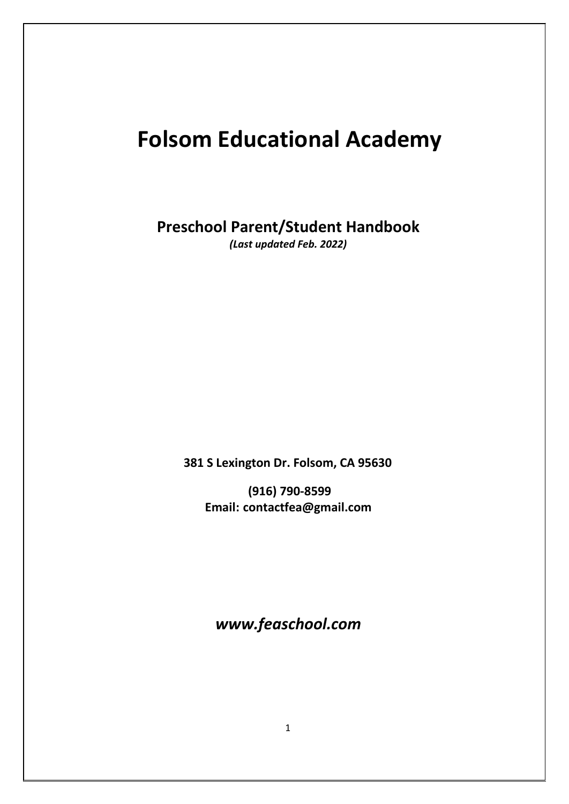# **Folsom Educational Academy**

**Preschool Parent/Student Handbook**

*(Last updated Feb. 2022)*

**381 S Lexington Dr. Folsom, CA 95630**

**(916) 790-8599 Email: [contactfea@gmail.com](mailto:contactfea@gmail.com)**

*www.feaschool.com*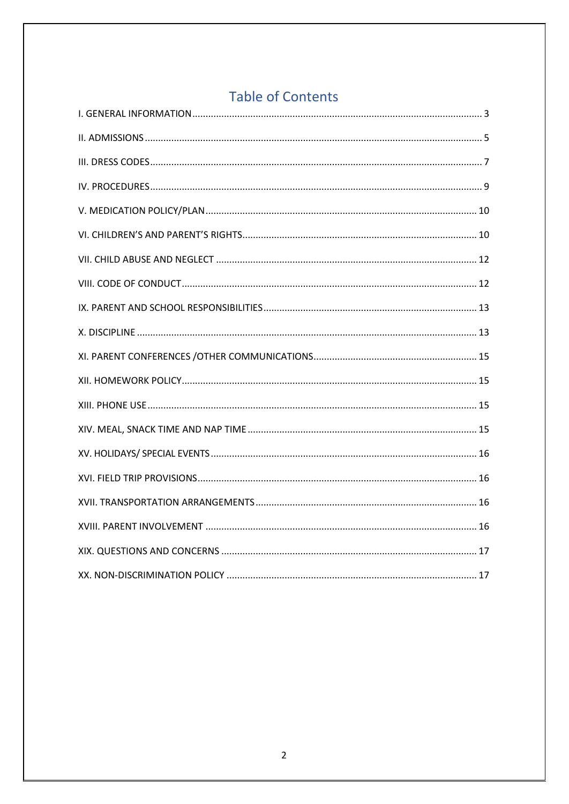# **Table of Contents**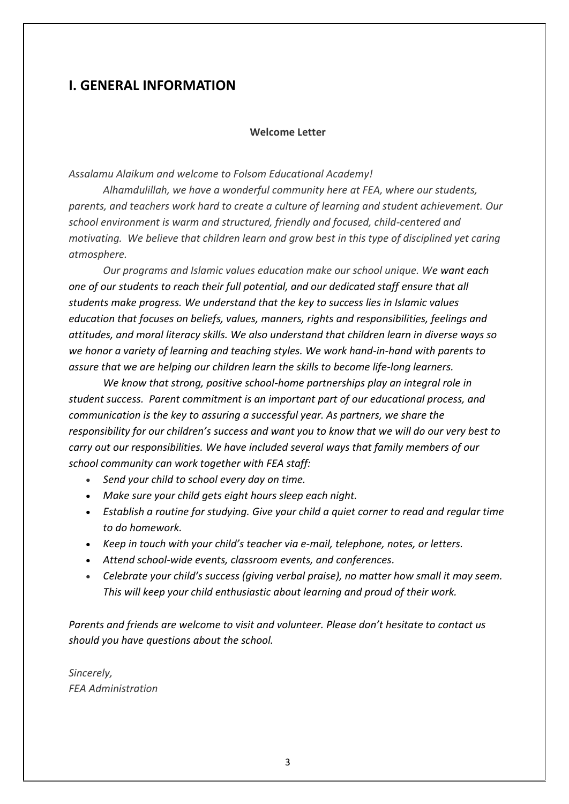# <span id="page-2-0"></span>**I. GENERAL INFORMATION**

### **Welcome Letter**

*Assalamu Alaikum and welcome to Folsom Educational Academy!* 

*Alhamdulillah, we have a wonderful community here at FEA, where our students, parents, and teachers work hard to create a culture of learning and student achievement. Our school environment is warm and structured, friendly and focused, child-centered and motivating. We believe that children learn and grow best in this type of disciplined yet caring atmosphere.* 

*Our programs and Islamic values education make our school unique. We want each one of our students to reach their full potential, and our dedicated staff ensure that all students make progress. We understand that the key to success lies in Islamic values education that focuses on beliefs, values, manners, rights and responsibilities, feelings and attitudes, and moral literacy skills. We also understand that children learn in diverse ways so we honor a variety of learning and teaching styles. We work hand-in-hand with parents to assure that we are helping our children learn the skills to become life-long learners.* 

*We know that strong, positive school-home partnerships play an integral role in student success. Parent commitment is an important part of our educational process, and communication is the key to assuring a successful year. As partners, we share the responsibility for our children's success and want you to know that we will do our very best to carry out our responsibilities. We have included several ways that family members of our school community can work together with FEA staff:*

- *Send your child to school every day on time.*
- *Make sure your child gets eight hours sleep each night.*
- *Establish a routine for studying. Give your child a quiet corner to read and regular time to do homework.*
- *Keep in touch with your child's teacher via e-mail, telephone, notes, or letters.*
- *Attend school-wide events, classroom events, and conferences.*
- *Celebrate your child's success (giving verbal praise), no matter how small it may seem. This will keep your child enthusiastic about learning and proud of their work.*

*Parents and friends are welcome to visit and volunteer. Please don't hesitate to contact us should you have questions about the school.*

*Sincerely, FEA Administration*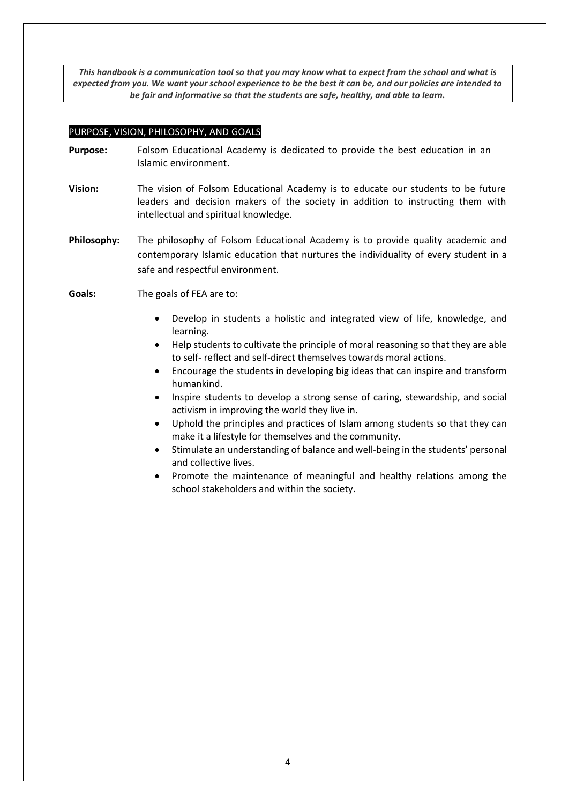*This handbook is a communication tool so that you may know what to expect from the school and what is expected from you. We want your school experience to be the best it can be, and our policies are intended to be fair and informative so that the students are safe, healthy, and able to learn.*

#### PURPOSE, VISION, PHILOSOPHY, AND GOALS

- **Purpose:** Folsom Educational Academy is dedicated to provide the best education in an Islamic environment.
- **Vision:** The vision of Folsom Educational Academy is to educate our students to be future leaders and decision makers of the society in addition to instructing them with intellectual and spiritual knowledge.
- **Philosophy:** The philosophy of Folsom Educational Academy is to provide quality academic and contemporary Islamic education that nurtures the individuality of every student in a safe and respectful environment.
- **Goals:** The goals of FEA are to:
	- Develop in students a holistic and integrated view of life, knowledge, and learning.
	- Help students to cultivate the principle of moral reasoning so that they are able to self- reflect and self-direct themselves towards moral actions.
	- Encourage the students in developing big ideas that can inspire and transform humankind.
	- Inspire students to develop a strong sense of caring, stewardship, and social activism in improving the world they live in.
	- Uphold the principles and practices of Islam among students so that they can make it a lifestyle for themselves and the community.
	- Stimulate an understanding of balance and well-being in the students' personal and collective lives.
	- Promote the maintenance of meaningful and healthy relations among the school stakeholders and within the society.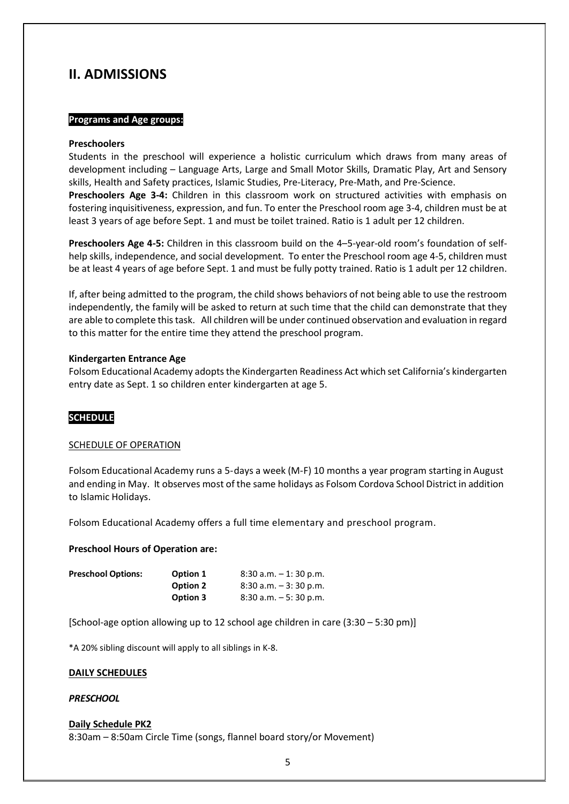# <span id="page-4-0"></span>**II. ADMISSIONS**

#### **Programs and Age groups:**

#### **Preschoolers**

Students in the preschool will experience a holistic curriculum which draws from many areas of development including – Language Arts, Large and Small Motor Skills, Dramatic Play, Art and Sensory skills, Health and Safety practices, Islamic Studies, Pre-Literacy, Pre-Math, and Pre-Science.

**Preschoolers Age 3-4:** Children in this classroom work on structured activities with emphasis on fostering inquisitiveness, expression, and fun. To enter the Preschool room age 3-4, children must be at least 3 years of age before Sept. 1 and must be toilet trained. Ratio is 1 adult per 12 children.

**Preschoolers Age 4-5:** Children in this classroom build on the 4–5-year-old room's foundation of selfhelp skills, independence, and social development. To enter the Preschool room age 4-5, children must be at least 4 years of age before Sept. 1 and must be fully potty trained. Ratio is 1 adult per 12 children.

If, after being admitted to the program, the child shows behaviors of not being able to use the restroom independently, the family will be asked to return at such time that the child can demonstrate that they are able to complete this task. All children will be under continued observation and evaluation in regard to this matter for the entire time they attend the preschool program.

#### **Kindergarten Entrance Age**

Folsom Educational Academy adopts the Kindergarten Readiness Act which set California's kindergarten entry date as Sept. 1 so children enter kindergarten at age 5.

#### **SCHEDULE**

#### SCHEDULE OF OPERATION

Folsom Educational Academy runs a 5-days a week (M-F) 10 months a year program starting in August and ending in May. It observes most of the same holidays as Folsom Cordova School District in addition to Islamic Holidays.

Folsom Educational Academy offers a full time elementary and preschool program.

#### **Preschool Hours of Operation are:**

| <b>Preschool Options:</b> | Option 1        | $8:30$ a.m. $-1:30$ p.m. |
|---------------------------|-----------------|--------------------------|
|                           | <b>Option 2</b> | $8:30$ a.m. $-3:30$ p.m. |
|                           | Option 3        | $8:30$ a.m. $-5:30$ p.m. |

[School-age option allowing up to 12 school age children in care (3:30 – 5:30 pm)]

\*A 20% sibling discount will apply to all siblings in K-8.

#### **DAILY SCHEDULES**

#### *PRESCHOOL*

### **Daily Schedule PK2**

8:30am – 8:50am Circle Time (songs, flannel board story/or Movement)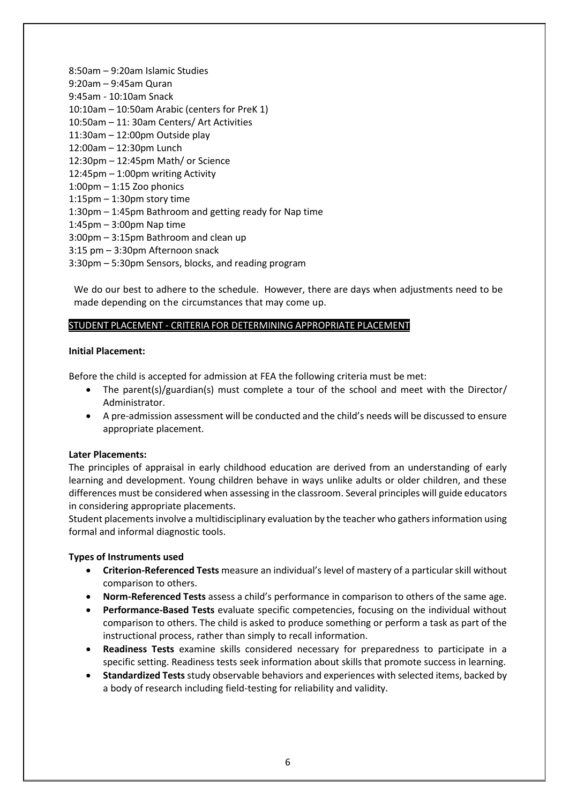8:50am – 9:20am Islamic Studies 9:20am – 9:45am Quran 9:45am - 10:10am Snack 10:10am – 10:50am Arabic (centers for PreK 1) 10:50am – 11: 30am Centers/ Art Activities 11:30am – 12:00pm Outside play 12:00am – 12:30pm Lunch 12:30pm – 12:45pm Math/ or Science 12:45pm – 1:00pm writing Activity  $1:00$ pm  $-1:15$  Zoo phonics 1:15pm – 1:30pm story time 1:30pm – 1:45pm Bathroom and getting ready for Nap time 1:45pm – 3:00pm Nap time 3:00pm – 3:15pm Bathroom and clean up 3:15 pm – 3:30pm Afternoon snack 3:30pm – 5:30pm Sensors, blocks, and reading program

We do our best to adhere to the schedule. However, there are days when adjustments need to be made depending on the circumstances that may come up.

### STUDENT PLACEMENT - CRITERIA FOR DETERMINING APPROPRIATE PLACEMENT

#### **Initial Placement:**

Before the child is accepted for admission at FEA the following criteria must be met:

- The parent(s)/guardian(s) must complete a tour of the school and meet with the Director/ Administrator.
- A pre-admission assessment will be conducted and the child's needs will be discussed to ensure appropriate placement.

#### **Later Placements:**

The principles of appraisal in early childhood education are derived from an understanding of early learning and development. Young children behave in ways unlike adults or older children, and these differences must be considered when assessing in the classroom. Several principles will guide educators in considering appropriate placements.

Student placements involve a multidisciplinary evaluation by the teacher who gathers information using formal and informal diagnostic tools.

#### **Types of Instruments used**

- **Criterion-Referenced Tests** measure an individual's level of mastery of a particular skill without comparison to others.
- **Norm-Referenced Tests** assess a child's performance in comparison to others of the same age.
- **Performance-Based Tests** evaluate specific competencies, focusing on the individual without comparison to others. The child is asked to produce something or perform a task as part of the instructional process, rather than simply to recall information.
- **Readiness Tests** examine skills considered necessary for preparedness to participate in a specific setting. Readiness tests seek information about skills that promote success in learning.
- **Standardized Tests** study observable behaviors and experiences with selected items, backed by a body of research including field-testing for reliability and validity.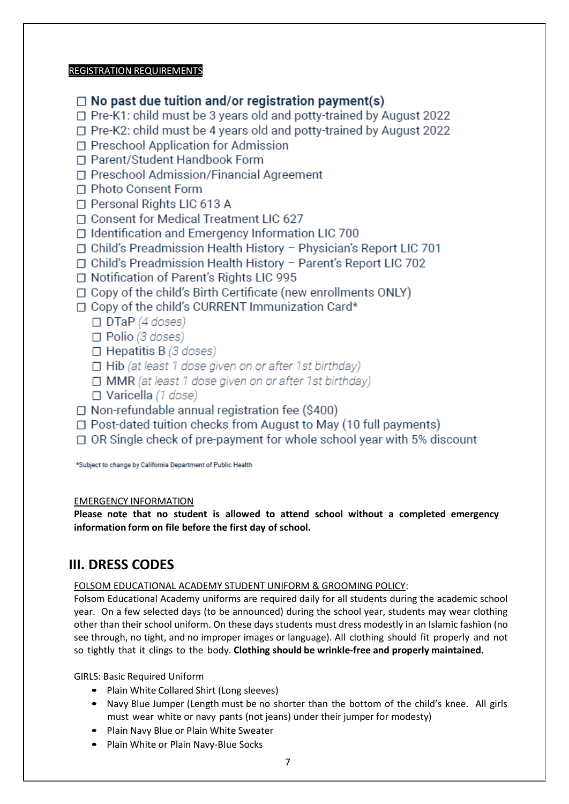### REGISTRATION REQUIREMENTS

- $\Box$  No past due tuition and/or registration payment(s)
- □ Pre-K1: child must be 3 years old and potty-trained by August 2022
- □ Pre-K2: child must be 4 years old and potty-trained by August 2022
- □ Preschool Application for Admission
- □ Parent/Student Handbook Form
- □ Preschool Admission/Financial Agreement
- □ Photo Consent Form
- □ Personal Rights LIC 613 A
- □ Consent for Medical Treatment LIC 627
- $\Box$  Identification and Emergency Information LIC 700
- □ Child's Preadmission Health History Physician's Report LIC 701
- □ Child's Preadmission Health History Parent's Report LIC 702
- □ Notification of Parent's Rights LIC 995
- $\Box$  Copy of the child's Birth Certificate (new enrollments ONLY)
- □ Copy of the child's CURRENT Immunization Card\*
	- $\Box$  DTaP (4 doses)
	- $\Box$  Polio (3 doses)
	- $\Box$  Hepatitis B (3 doses)
	- Hib (at least 1 dose given on or after 1st birthday)
	- $\Box$  MMR (at least 1 dose given on or after 1st birthday)
	- $\Box$  Varicella (1 dose)
- $\Box$  Non-refundable annual registration fee (\$400)
- $\Box$  Post-dated tuition checks from August to May (10 full payments)
- $\Box$  OR Single check of pre-payment for whole school year with 5% discount

\*Subject to change by California Department of Public Health

### EMERGENCY INFORMATION

**Please note that no student is allowed to attend school without a completed emergency information form on file before the first day of school.**

# <span id="page-6-0"></span>**III. DRESS CODES**

FOLSOM EDUCATIONAL ACADEMY STUDENT UNIFORM & GROOMING POLICY:

Folsom Educational Academy uniforms are required daily for all students during the academic school year. On a few selected days (to be announced) during the school year, students may wear clothing other than their school uniform. On these days students must dress modestly in an Islamic fashion (no see through, no tight, and no improper images or language). All clothing should fit properly and not so tightly that it clings to the body. **Clothing should be wrinkle-free and properly maintained.**

GIRLS: Basic Required Uniform

- Plain White Collared Shirt (Long sleeves)
- Navy Blue Jumper (Length must be no shorter than the bottom of the child's knee. All girls must wear white or navy pants (not jeans) under their jumper for modesty)
- Plain Navy Blue or Plain White Sweater
- Plain White or Plain Navy-Blue Socks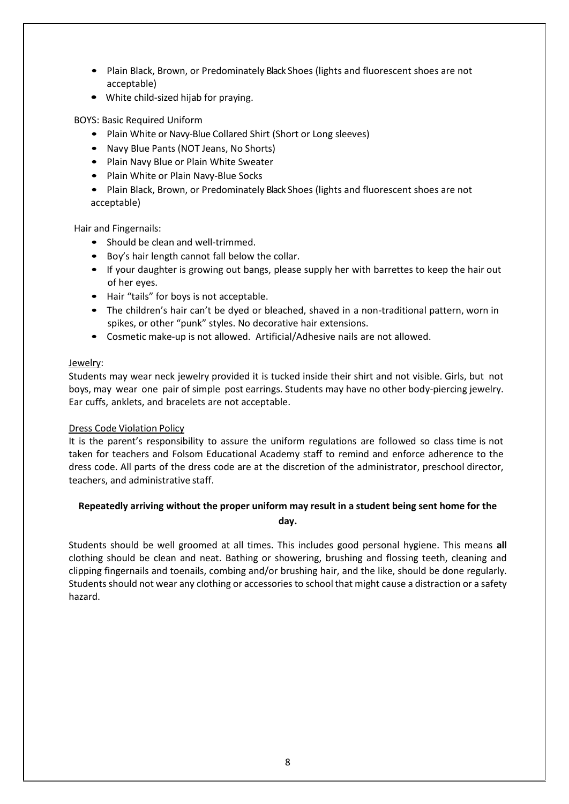- Plain Black, Brown, or Predominately Black Shoes (lights and fluorescent shoes are not acceptable)
- White child-sized hijab for praying.

BOYS: Basic Required Uniform

- Plain White or Navy-Blue Collared Shirt (Short or Long sleeves)
- Navy Blue Pants (NOT Jeans, No Shorts)
- Plain Navy Blue or Plain White Sweater
- Plain White or Plain Navy-Blue Socks
- Plain Black, Brown, or Predominately Black Shoes (lights and fluorescent shoes are not acceptable)

Hair and Fingernails:

- Should be clean and well-trimmed.
- Boy's hair length cannot fall below the collar.
- If your daughter is growing out bangs, please supply her with barrettes to keep the hair out of her eyes.
- Hair "tails" for boys is not acceptable.
- The children's hair can't be dyed or bleached, shaved in a non-traditional pattern, worn in spikes, or other "punk" styles. No decorative hair extensions.
- Cosmetic make-up is not allowed. Artificial/Adhesive nails are not allowed.

### Jewelry:

Students may wear neck jewelry provided it is tucked inside their shirt and not visible. Girls, but not boys, may wear one pair of simple post earrings. Students may have no other body-piercing jewelry. Ear cuffs, anklets, and bracelets are not acceptable.

### Dress Code Violation Policy

It is the parent's responsibility to assure the uniform regulations are followed so class time is not taken for teachers and Folsom Educational Academy staff to remind and enforce adherence to the dress code. All parts of the dress code are at the discretion of the administrator, preschool director, teachers, and administrative staff.

### **Repeatedly arriving without the proper uniform may result in a student being sent home for the day.**

Students should be well groomed at all times. This includes good personal hygiene. This means **all**  clothing should be clean and neat. Bathing or showering, brushing and flossing teeth, cleaning and clipping fingernails and toenails, combing and/or brushing hair, and the like, should be done regularly. Students should not wear any clothing or accessories to school that might cause a distraction or a safety hazard.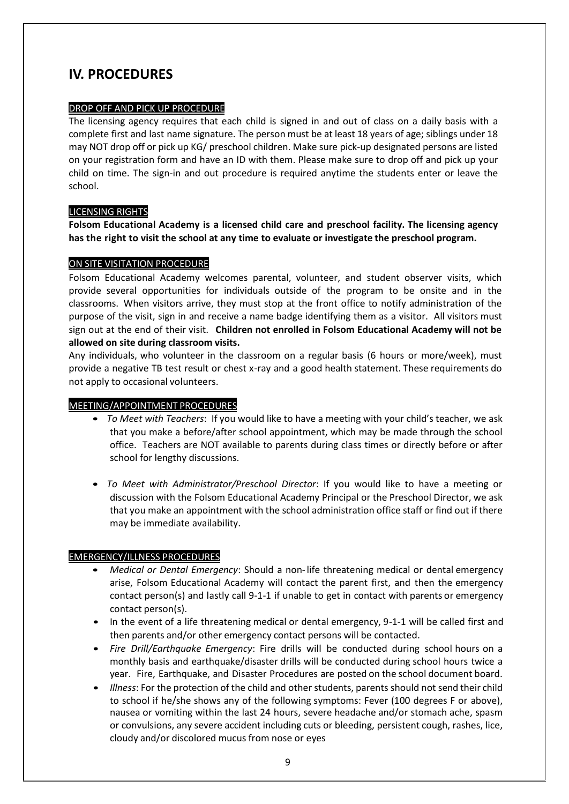# <span id="page-8-0"></span>**IV. PROCEDURES**

### DROP OFF AND PICK UP PROCEDURE

The licensing agency requires that each child is signed in and out of class on a daily basis with a complete first and last name signature. The person must be at least 18 years of age; siblings under 18 may NOT drop off or pick up KG/ preschool children. Make sure pick-up designated persons are listed on your registration form and have an ID with them. Please make sure to drop off and pick up your child on time. The sign-in and out procedure is required anytime the students enter or leave the school.

### LICENSING RIGHTS

**Folsom Educational Academy is a licensed child care and preschool facility. The licensing agency has the right to visit the school at any time to evaluate or investigate the preschool program.**

### ON SITE VISITATION PROCEDURE

Folsom Educational Academy welcomes parental, volunteer, and student observer visits, which provide several opportunities for individuals outside of the program to be onsite and in the classrooms. When visitors arrive, they must stop at the front office to notify administration of the purpose of the visit, sign in and receive a name badge identifying them as a visitor. All visitors must sign out at the end of their visit. **Children not enrolled in Folsom Educational Academy will not be allowed on site during classroom visits.**

Any individuals, who volunteer in the classroom on a regular basis (6 hours or more/week), must provide a negative TB test result or chest x-ray and a good health statement. These requirements do not apply to occasional volunteers.

### MEETING/APPOINTMENT PROCEDURES

- *To Meet with Teachers*: If you would like to have a meeting with your child's teacher, we ask that you make a before/after school appointment, which may be made through the school office. Teachers are NOT available to parents during class times or directly before or after school for lengthy discussions.
- *To Meet with Administrator/Preschool Director*: If you would like to have a meeting or discussion with the Folsom Educational Academy Principal or the Preschool Director, we ask that you make an appointment with the school administration office staff or find out if there may be immediate availability.

### EMERGENCY/ILLNESS PROCEDURES

- *Medical or Dental Emergency*: Should a non-life threatening medical or dental emergency arise, Folsom Educational Academy will contact the parent first, and then the emergency contact person(s) and lastly call 9-1-1 if unable to get in contact with parents or emergency contact person(s).
- In the event of a life threatening medical or dental emergency, 9-1-1 will be called first and then parents and/or other emergency contact persons will be contacted.
- *Fire Drill/Earthquake Emergency*: Fire drills will be conducted during school hours on a monthly basis and earthquake/disaster drills will be conducted during school hours twice a year. Fire, Earthquake, and Disaster Procedures are posted on the school document board.
- *Illness*: For the protection of the child and other students, parents should not send their child to school if he/she shows any of the following symptoms: Fever (100 degrees F or above), nausea or vomiting within the last 24 hours, severe headache and/or stomach ache, spasm or convulsions, any severe accident including cuts or bleeding, persistent cough, rashes, lice, cloudy and/or discolored mucus from nose or eyes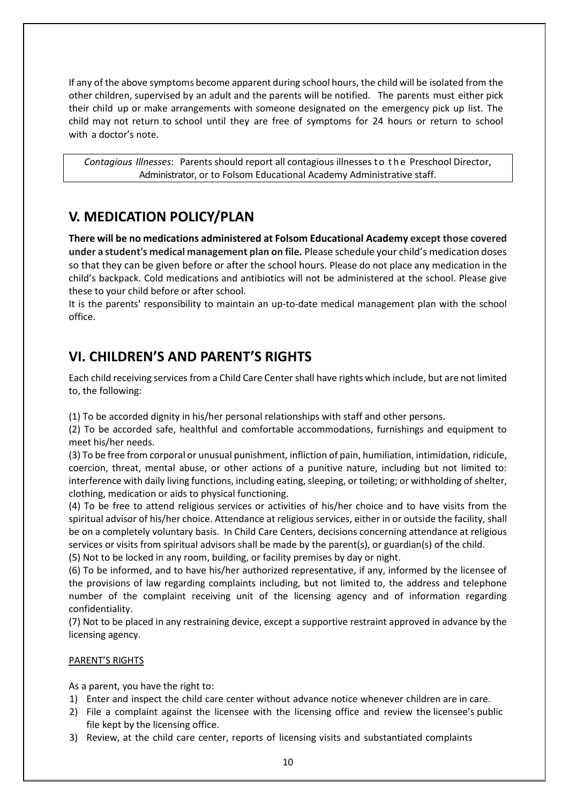If any of the above symptoms become apparent during school hours, the child will be isolated from the other children, supervised by an adult and the parents will be notified. The parents must either pick their child up or make arrangements with someone designated on the emergency pick up list. The child may not return to school until they are free of symptoms for 24 hours or return to school with a doctor's note.

*Contagious Illnesses*: Parents should report all contagious illnesses t o t h e Preschool Director, Administrator, or to Folsom Educational Academy Administrative staff.

### <span id="page-9-0"></span>**V. MEDICATION POLICY/PLAN**

**There will be no medications administered at Folsom Educational Academy except those covered under a student's medical management plan on file.** Please schedule your child's medication doses so that they can be given before or after the school hours. Please do not place any medication in the child's backpack. Cold medications and antibiotics will not be administered at the school. Please give these to your child before or after school.

It is the parents' responsibility to maintain an up-to-date medical management plan with the school office.

# <span id="page-9-1"></span>**VI. CHILDREN'S AND PARENT'S RIGHTS**

Each child receiving services from a Child Care Center shall have rights which include, but are not limited to, the following:

(1) To be accorded dignity in his/her personal relationships with staff and other persons.

(2) To be accorded safe, healthful and comfortable accommodations, furnishings and equipment to meet his/her needs.

(3) To be free from corporal or unusual punishment, infliction of pain, humiliation, intimidation, ridicule, coercion, threat, mental abuse, or other actions of a punitive nature, including but not limited to: interference with daily living functions, including eating, sleeping, or toileting; or withholding of shelter, clothing, medication or aids to physical functioning.

(4) To be free to attend religious services or activities of his/her choice and to have visits from the spiritual advisor of his/her choice. Attendance at religious services, either in or outside the facility, shall be on a completely voluntary basis. In Child Care Centers, decisions concerning attendance at religious services or visits from spiritual advisors shall be made by the parent(s), or guardian(s) of the child.

(5) Not to be locked in any room, building, or facility premises by day or night.

(6) To be informed, and to have his/her authorized representative, if any, informed by the licensee of the provisions of law regarding complaints including, but not limited to, the address and telephone number of the complaint receiving unit of the licensing agency and of information regarding confidentiality.

(7) Not to be placed in any restraining device, except a supportive restraint approved in advance by the licensing agency.

### PARENT'S RIGHTS

As a parent, you have the right to:

- 1) Enter and inspect the child care center without advance notice whenever children are in care.
- 2) File a complaint against the licensee with the licensing office and review the licensee's public file kept by the licensing office.
- 3) Review, at the child care center, reports of licensing visits and substantiated complaints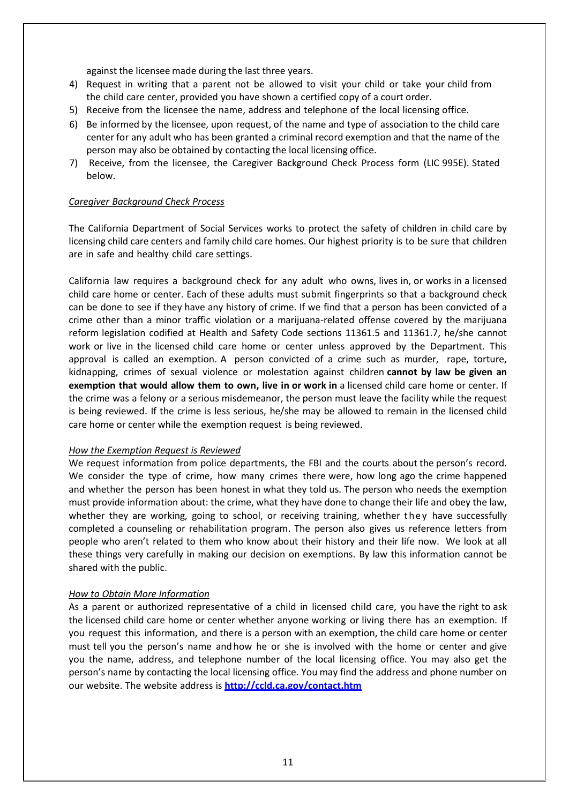against the licensee made during the last three years.

- 4) Request in writing that a parent not be allowed to visit your child or take your child from the child care center, provided you have shown a certified copy of a court order.
- 5) Receive from the licensee the name, address and telephone of the local licensing office.
- 6) Be informed by the licensee, upon request, of the name and type of association to the child care center for any adult who has been granted a criminal record exemption and that the name of the person may also be obtained by contacting the local licensing office.
- 7) Receive, from the licensee, the Caregiver Background Check Process form (LIC 995E). Stated below.

#### *Caregiver Background Check Process*

The California Department of Social Services works to protect the safety of children in child care by licensing child care centers and family child care homes. Our highest priority is to be sure that children are in safe and healthy child care settings.

California law requires a background check for any adult who owns, lives in, or works in a licensed child care home or center. Each of these adults must submit fingerprints so that a background check can be done to see if they have any history of crime. If we find that a person has been convicted of a crime other than a minor traffic violation or a marijuana-related offense covered by the marijuana reform legislation codified at Health and Safety Code sections 11361.5 and 11361.7, he/she cannot work or live in the licensed child care home or center unless approved by the Department. This approval is called an exemption. A person convicted of a crime such as murder, rape, torture, kidnapping, crimes of sexual violence or molestation against children **cannot by law be given an exemption that would allow them to own, live in or work in** a licensed child care home or center. If the crime was a felony or a serious misdemeanor, the person must leave the facility while the request is being reviewed. If the crime is less serious, he/she may be allowed to remain in the licensed child care home or center while the exemption request is being reviewed.

#### *How the Exemption Request is Reviewed*

We request information from police departments, the FBI and the courts about the person's record. We consider the type of crime, how many crimes there were, how long ago the crime happened and whether the person has been honest in what they told us. The person who needs the exemption must provide information about: the crime, what they have done to change their life and obey the law, whether they are working, going to school, or receiving training, whether they have successfully completed a counseling or rehabilitation program. The person also gives us reference letters from people who aren't related to them who know about their history and their life now. We look at all these things very carefully in making our decision on exemptions. By law this information cannot be shared with the public.

#### *How to Obtain More Information*

As a parent or authorized representative of a child in licensed child care, you have the right to ask the licensed child care home or center whether anyone working or living there has an exemption. If you request this information, and there is a person with an exemption, the child care home or center must tell you the person's name and how he or she is involved with the home or center and give you the name, address, and telephone number of the local licensing office. You may also get the person's name by contacting the local licensing office. You may find the address and phone number on our website. The website address is **<http://ccld.ca.gov/contact.htm>**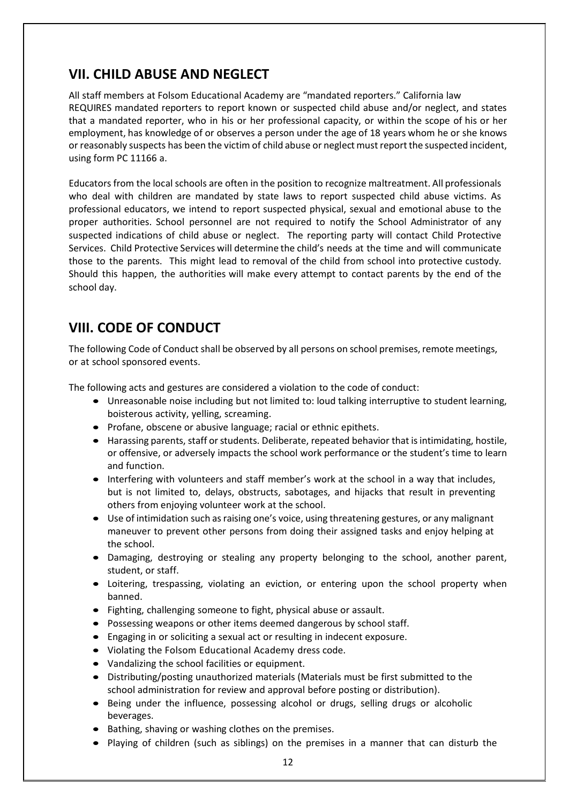# <span id="page-11-0"></span>**VII. CHILD ABUSE AND NEGLECT**

All staff members at Folsom Educational Academy are "mandated reporters." California law REQUIRES mandated reporters to report known or suspected child abuse and/or neglect, and states that a mandated reporter, who in his or her professional capacity, or within the scope of his or her employment, has knowledge of or observes a person under the age of 18 years whom he or she knows or reasonably suspects has been the victim of child abuse or neglect must report the suspected incident, using form PC 11166 a.

Educators from the local schools are often in the position to recognize maltreatment. All professionals who deal with children are mandated by state laws to report suspected child abuse victims. As professional educators, we intend to report suspected physical, sexual and emotional abuse to the proper authorities. School personnel are not required to notify the School Administrator of any suspected indications of child abuse or neglect. The reporting party will contact Child Protective Services. Child Protective Services will determine the child's needs at the time and will communicate those to the parents. This might lead to removal of the child from school into protective custody. Should this happen, the authorities will make every attempt to contact parents by the end of the school day.

# <span id="page-11-1"></span>**VIII. CODE OF CONDUCT**

The following Code of Conduct shall be observed by all persons on school premises, remote meetings, or at school sponsored events.

The following acts and gestures are considered a violation to the code of conduct:

- Unreasonable noise including but not limited to: loud talking interruptive to student learning, boisterous activity, yelling, screaming.
- Profane, obscene or abusive language; racial or ethnic epithets.
- Harassing parents, staff or students. Deliberate, repeated behavior that is intimidating, hostile, or offensive, or adversely impacts the school work performance or the student's time to learn and function.
- Interfering with volunteers and staff member's work at the school in a way that includes, but is not limited to, delays, obstructs, sabotages, and hijacks that result in preventing others from enjoying volunteer work at the school.
- Use of intimidation such as raising one's voice, using threatening gestures, or any malignant maneuver to prevent other persons from doing their assigned tasks and enjoy helping at the school.
- Damaging, destroying or stealing any property belonging to the school, another parent, student, or staff.
- Loitering, trespassing, violating an eviction, or entering upon the school property when banned.
- Fighting, challenging someone to fight, physical abuse or assault.
- Possessing weapons or other items deemed dangerous by school staff.
- Engaging in or soliciting a sexual act or resulting in indecent exposure.
- Violating the Folsom Educational Academy dress code.
- Vandalizing the school facilities or equipment.
- Distributing/posting unauthorized materials (Materials must be first submitted to the school administration for review and approval before posting or distribution).
- Being under the influence, possessing alcohol or drugs, selling drugs or alcoholic beverages.
- Bathing, shaving or washing clothes on the premises.
- Playing of children (such as siblings) on the premises in a manner that can disturb the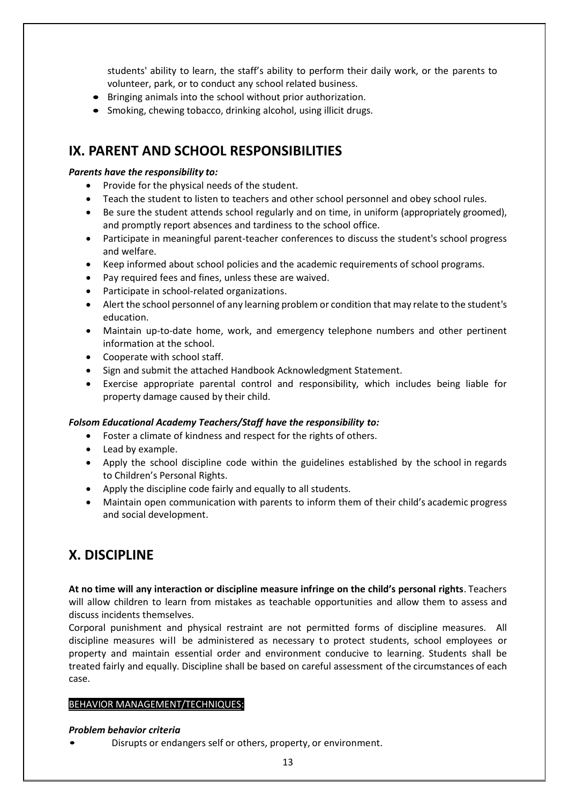students' ability to learn, the staff's ability to perform their daily work, or the parents to volunteer, park, or to conduct any school related business.

- Bringing animals into the school without prior authorization.
- Smoking, chewing tobacco, drinking alcohol, using illicit drugs.

### <span id="page-12-0"></span>**IX. PARENT AND SCHOOL RESPONSIBILITIES**

### *Parents have the responsibility to:*

- Provide for the physical needs of the student.
- Teach the student to listen to teachers and other school personnel and obey school rules.
- Be sure the student attends school regularly and on time, in uniform (appropriately groomed), and promptly report absences and tardiness to the school office.
- Participate in meaningful parent-teacher conferences to discuss the student's school progress and welfare.
- Keep informed about school policies and the academic requirements of school programs.
- Pay required fees and fines, unless these are waived.
- Participate in school-related organizations.
- Alert the school personnel of any learning problem or condition that may relate to the student's education.
- Maintain up-to-date home, work, and emergency telephone numbers and other pertinent information at the school.
- Cooperate with school staff.
- Sign and submit the attached Handbook Acknowledgment Statement.
- Exercise appropriate parental control and responsibility, which includes being liable for property damage caused by their child.

#### *Folsom Educational Academy Teachers/Staff have the responsibility to:*

- Foster a climate of kindness and respect for the rights of others.
- Lead by example.
- Apply the school discipline code within the guidelines established by the school in regards to Children's Personal Rights.
- Apply the discipline code fairly and equally to all students.
- Maintain open communication with parents to inform them of their child's academic progress and social development.

# <span id="page-12-1"></span>**X. DISCIPLINE**

**At no time will any interaction or discipline measure infringe on the child's personal rights**. Teachers will allow children to learn from mistakes as teachable opportunities and allow them to assess and discuss incidents themselves.

Corporal punishment and physical restraint are not permitted forms of discipline measures. All discipline measures will be administered as necessary to protect students, school employees or property and maintain essential order and environment conducive to learning. Students shall be treated fairly and equally. Discipline shall be based on careful assessment of the circumstances of each case.

#### BEHAVIOR MANAGEMENT/TECHNIQUES:

#### *Problem behavior criteria*

• Disrupts or endangers self or others, property, or environment.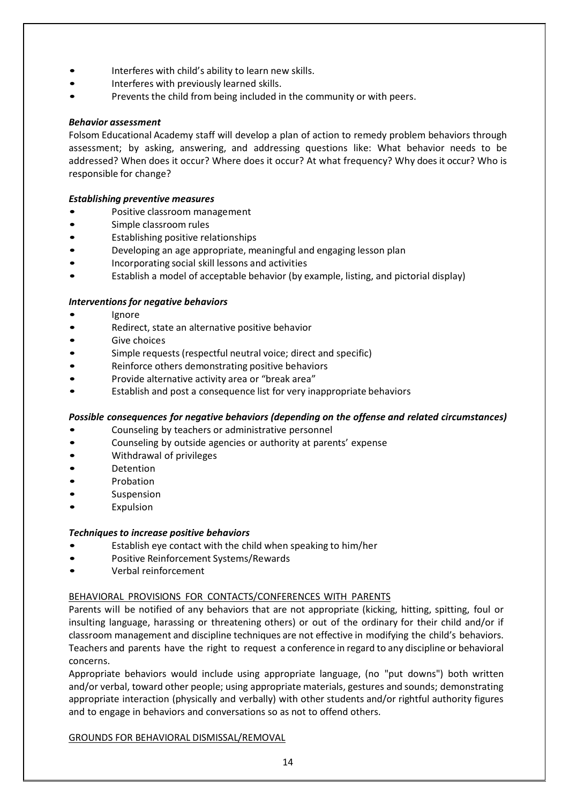- Interferes with child's ability to learn new skills.
- Interferes with previously learned skills.
- Prevents the child from being included in the community or with peers.

#### *Behavior assessment*

Folsom Educational Academy staff will develop a plan of action to remedy problem behaviors through assessment; by asking, answering, and addressing questions like: What behavior needs to be addressed? When does it occur? Where does it occur? At what frequency? Why does it occur? Who is responsible for change?

#### *Establishing preventive measures*

- Positive classroom management
- Simple classroom rules
- Establishing positive relationships
- Developing an age appropriate, meaningful and engaging lesson plan
- Incorporating social skill lessons and activities
- Establish a model of acceptable behavior (by example, listing, and pictorial display)

#### *Interventionsfor negative behaviors*

- **Ignore**
- Redirect, state an alternative positive behavior
- Give choices
- Simple requests (respectful neutral voice; direct and specific)
- Reinforce others demonstrating positive behaviors
- Provide alternative activity area or "break area"
- Establish and post a consequence list for very inappropriate behaviors

#### *Possible consequences for negative behaviors (depending on the offense and related circumstances)*

- Counseling by teachers or administrative personnel
- Counseling by outside agencies or authority at parents' expense
- Withdrawal of privileges
- Detention
- Probation
- **Suspension**
- **Expulsion**

#### *Techniquesto increase positive behaviors*

- Establish eye contact with the child when speaking to him/her
- Positive Reinforcement Systems/Rewards
- Verbal reinforcement

#### BEHAVIORAL PROVISIONS FOR CONTACTS/CONFERENCES WITH PARENTS

Parents will be notified of any behaviors that are not appropriate (kicking, hitting, spitting, foul or insulting language, harassing or threatening others) or out of the ordinary for their child and/or if classroom management and discipline techniques are not effective in modifying the child's behaviors. Teachers and parents have the right to request a conference in regard to any discipline or behavioral concerns.

Appropriate behaviors would include using appropriate language, (no "put downs") both written and/or verbal, toward other people; using appropriate materials, gestures and sounds; demonstrating appropriate interaction (physically and verbally) with other students and/or rightful authority figures and to engage in behaviors and conversations so as not to offend others.

#### GROUNDS FOR BEHAVIORAL DISMISSAL/REMOVAL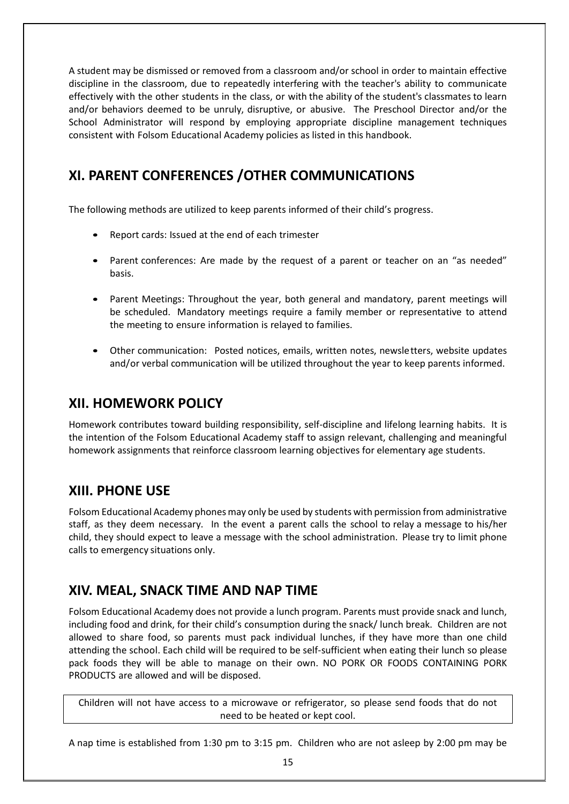A student may be dismissed or removed from a classroom and/or school in order to maintain effective discipline in the classroom, due to repeatedly interfering with the teacher's ability to communicate effectively with the other students in the class, or with the ability of the student's classmates to learn and/or behaviors deemed to be unruly, disruptive, or abusive. The Preschool Director and/or the School Administrator will respond by employing appropriate discipline management techniques consistent with Folsom Educational Academy policies as listed in this handbook.

# <span id="page-14-0"></span>**XI. PARENT CONFERENCES /OTHER COMMUNICATIONS**

The following methods are utilized to keep parents informed of their child's progress.

- Report cards: Issued at the end of each trimester
- Parent conferences: Are made by the request of a parent or teacher on an "as needed" basis.
- Parent Meetings: Throughout the year, both general and mandatory, parent meetings will be scheduled. Mandatory meetings require a family member or representative to attend the meeting to ensure information is relayed to families.
- Other communication: Posted notices, emails, written notes, newsletters, website updates and/or verbal communication will be utilized throughout the year to keep parents informed.

# <span id="page-14-1"></span>**XII. HOMEWORK POLICY**

Homework contributes toward building responsibility, self-discipline and lifelong learning habits. It is the intention of the Folsom Educational Academy staff to assign relevant, challenging and meaningful homework assignments that reinforce classroom learning objectives for elementary age students.

# <span id="page-14-2"></span>**XIII. PHONE USE**

Folsom Educational Academy phones may only be used by students with permission from administrative staff, as they deem necessary. In the event a parent calls the school to relay a message to his/her child, they should expect to leave a message with the school administration. Please try to limit phone calls to emergency situations only.

# <span id="page-14-3"></span>**XIV. MEAL, SNACK TIME AND NAP TIME**

Folsom Educational Academy does not provide a lunch program. Parents must provide snack and lunch, including food and drink, for their child's consumption during the snack/ lunch break. Children are not allowed to share food, so parents must pack individual lunches, if they have more than one child attending the school. Each child will be required to be self-sufficient when eating their lunch so please pack foods they will be able to manage on their own. NO PORK OR FOODS CONTAINING PORK PRODUCTS are allowed and will be disposed.

Children will not have access to a microwave or refrigerator, so please send foods that do not need to be heated or kept cool.

A nap time is established from 1:30 pm to 3:15 pm. Children who are not asleep by 2:00 pm may be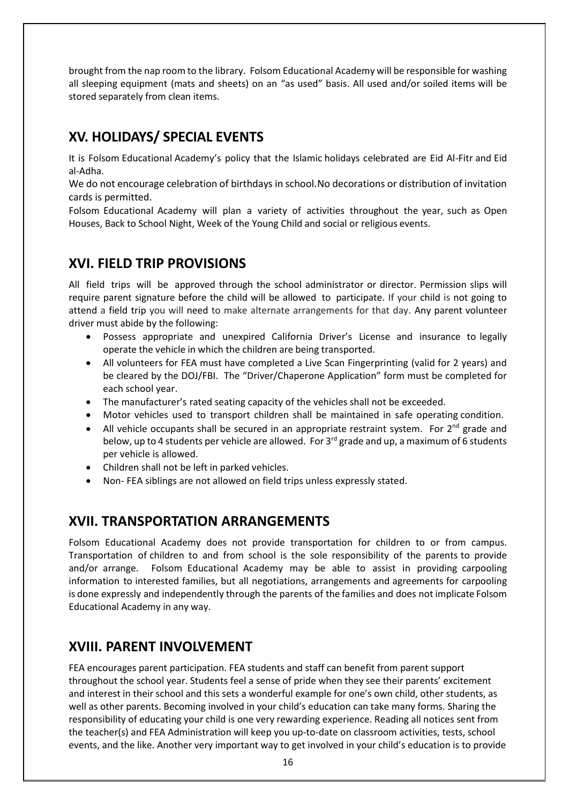brought from the nap room to the library. Folsom Educational Academy will be responsible for washing all sleeping equipment (mats and sheets) on an "as used" basis. All used and/or soiled items will be stored separately from clean items.

# <span id="page-15-0"></span>**XV. HOLIDAYS/ SPECIAL EVENTS**

It is Folsom Educational Academy's policy that the Islamic holidays celebrated are Eid Al-Fitr and Eid al-Adha.

We do not encourage celebration of birthdays in school.No decorations or distribution of invitation cards is permitted.

Folsom Educational Academy will plan a variety of activities throughout the year, such as Open Houses, Back to School Night, Week of the Young Child and social or religious events.

# <span id="page-15-1"></span>**XVI. FIELD TRIP PROVISIONS**

All field trips will be approved through the school administrator or director. Permission slips will require parent signature before the child will be allowed to participate. If your child is not going to attend a field trip you will need to make alternate arrangements for that day. Any parent volunteer driver must abide by the following:

- Possess appropriate and unexpired California Driver's License and insurance to legally operate the vehicle in which the children are being transported.
- All volunteers for FEA must have completed a Live Scan Fingerprinting (valid for 2 years) and be cleared by the DOJ/FBI. The "Driver/Chaperone Application" form must be completed for each school year.
- The manufacturer's rated seating capacity of the vehicles shall not be exceeded.
- Motor vehicles used to transport children shall be maintained in safe operating condition.
- All vehicle occupants shall be secured in an appropriate restraint system. For  $2^{nd}$  grade and below, up to 4 students per vehicle are allowed. For  $3<sup>rd</sup>$  grade and up, a maximum of 6 students per vehicle is allowed.
- Children shall not be left in parked vehicles.
- Non- FEA siblings are not allowed on field trips unless expressly stated.

# <span id="page-15-2"></span>**XVII. TRANSPORTATION ARRANGEMENTS**

Folsom Educational Academy does not provide transportation for children to or from campus. Transportation of children to and from school is the sole responsibility of the parents to provide and/or arrange. Folsom Educational Academy may be able to assist in providing carpooling information to interested families, but all negotiations, arrangements and agreements for carpooling is done expressly and independently through the parents of the families and does not implicate Folsom Educational Academy in any way.

# <span id="page-15-3"></span>**XVIII. PARENT INVOLVEMENT**

FEA encourages parent participation. FEA students and staff can benefit from parent support throughout the school year. Students feel a sense of pride when they see their parents' excitement and interest in their school and this sets a wonderful example for one's own child, other students, as well as other parents. Becoming involved in your child's education can take many forms. Sharing the responsibility of educating your child is one very rewarding experience. Reading all notices sent from the teacher(s) and FEA Administration will keep you up-to-date on classroom activities, tests, school events, and the like. Another very important way to get involved in your child's education is to provide